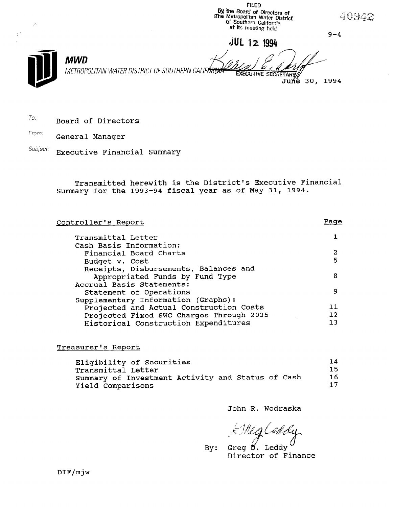**FILED** by the Board of Directors of 40942 i**l.ne Metropol**itan Water Distri Of Southern Califori at its meeting held  $9 - 4$ dLJ% 12 1994 **MWD** METROPOLITAN WATER DISTRICT OF SOUTHERN CALIFORY June 30, 1994

 $To:$  Board of Directors

From: General Manager

Subject: Executive Financial Summary

Transmitted herewith is the District's Executive Financial Summary for the 1993-94 fiscal year as of May 31, 1994.

Controller's Report Transmittal Letter Cash Basis Information: Financial Board Charts Budget v. Cost Receipts, Disbursements, Balances and Appropriated Funds by Fund Type Accrual Basis Statements: Statement of Operations Supplementary Information (Graphs): Projected and Actual Construction Costs Projected Fixed SWC Charges Through 2035 Historical Construction Expenditures Page 1 2 5 8 9 11 12 13

Treasurer's Report

| Eligibility of Securities                         | 14  |
|---------------------------------------------------|-----|
| Transmittal Letter                                | 15. |
| Summary of Investment Activity and Status of Cash | 16. |
| Yield Comparisons                                 | 17  |

John R. Wodraska

 $L$ Megleddy

By: Greg D. Leddy Director of Finance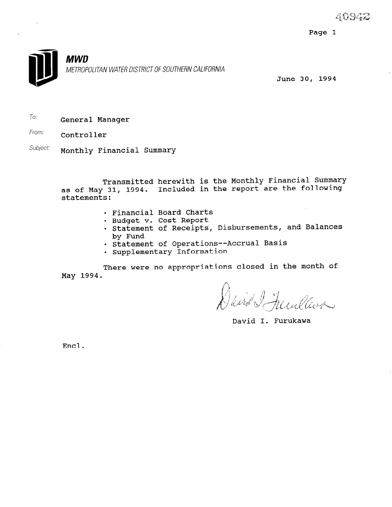A G Q 4 7

Page 1



June 30, 1994

 $T$ o: General Manager

From: **Controller** 

 $\mathbb{Z}$ 

Subject: Monthly Financial Summary

Transmitted herewith is the Monthly Financial Summary as of May 31, 1994. Included in the report are the following statements:

- . Financial Board Charts
- · Budget v. Cost Report
- . Statement of Receipts, Disbursements, and Balances by Fund
- . Statement of Operations--Accrual Basis
- Supplementary Information

There were no appropriations closed in the month of May 1994.

David I. Furukawa

Encl.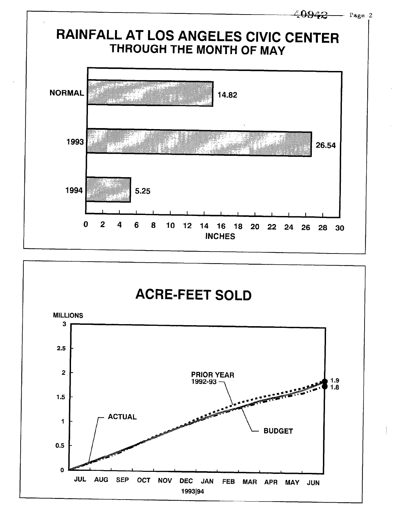







 $-$  Page 2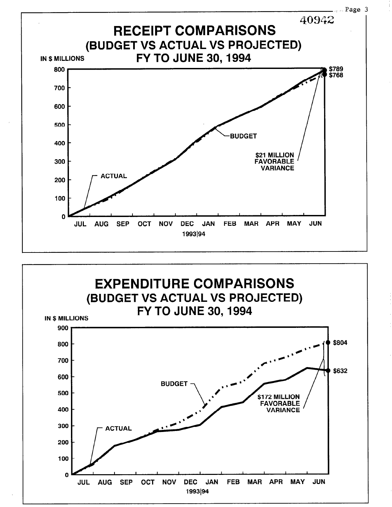

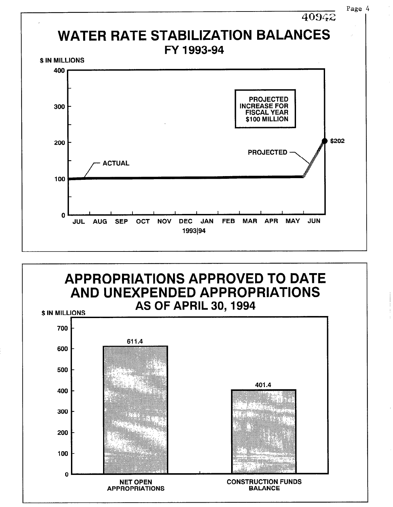

# APPROPRIATIONS APPROVED TO DATE AND UNEXPENDED APPROPRIATIONS AS OF APRIL 30,1994

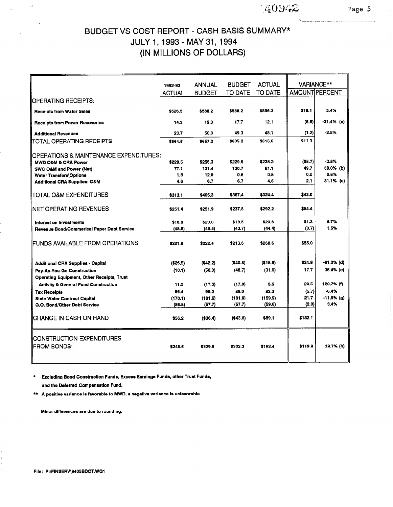## BUDGET VS COST REPORT - CASH BASIS SUMMARY\* JULY 1,1993 - MAY 31,1994 (IN MILLIONS OF DOLLARS)

|                                                                       | 1992-93       | <b>ANNUAL</b> | <b>BUDGET</b>  | <b>ACTUAL</b> | <b>VARIANCE**</b> |              |
|-----------------------------------------------------------------------|---------------|---------------|----------------|---------------|-------------------|--------------|
|                                                                       | <b>ACTUAL</b> | <b>BUDGET</b> | <b>TO DATE</b> | TO DATE       | AMOUNT PERCENT    |              |
| IOPERATING RECEIPTS:                                                  |               |               |                |               |                   |              |
|                                                                       |               |               | \$538.2        | \$556.3       | \$18.1            | 3.4%         |
| <b>Receipts from Water Sales</b>                                      | \$526.5       | \$588.2       |                |               |                   |              |
| <b>Receipts from Power Recoveries</b>                                 | 14.3          | 19.0          | 17.7           | 12.1          | (5.6)             | $-31.4%$ (a) |
| <b>Additional Revenues</b>                                            | 23.7          | 50.0          | 49.3           | 48.1          | (1.2)             | $-2.5%$      |
| ITOTAL OPERATING RECEIPTS                                             | \$564.5       | \$657.2       | \$605.2        | \$616.6       | \$11.3            |              |
| OPERATIONS & MAINTENANCE EXPENDITURES:                                |               |               |                |               |                   |              |
| <b>MWD O&amp;M &amp; CRA Power</b>                                    | \$229.5       | \$255.3       | \$229.5        | \$238.2       | ( \$8.7)          | $-3.8%$      |
| <b>SWC O&amp;M and Power (Net)</b>                                    | 77.1          | 131.4         | 130.7          | 81.1          | 49.7              | 38.0% (b)    |
| Water Transfers\Options                                               | 1.8           | 12.0          | 0.5            | 0.5           | 0.0               | 0.8%         |
| <b>Additional CRA Supplies: O&amp;M</b>                               | 4.6           | 6.7           | 6.7            | 4.6           | 2.1               | 31.1% (c)    |
| ITOTAL O&M EXPENDITURES                                               | \$313.1       | \$405.3       | \$367.4        | \$324.4       | \$43.0            |              |
| INET OPERATING REVENUES                                               | \$251.4       | \$251.9       | \$237.8        | \$292.2       | \$54.4            |              |
|                                                                       | \$18.8        | \$20.0        | \$19.5         | \$20.8        | \$1.3             | 6.7%         |
| Interest on Investments<br>Revenue Bond/Commerical Paper Debt Service | (48.5)        | (49.5)        | (43.7)         | (44.4)        | (0.7)             | 1.5%         |
|                                                                       |               |               |                |               |                   |              |
| FUNDS AVAILABLE FROM OPERATIONS                                       | \$221.8       | \$222.4       | \$213.6        | \$268.6       | \$55.0            |              |
| <b>Additional CRA Supplies - Capital</b>                              | ( \$26.5)     | (\$42.2)      | (\$40.8)       | ( \$15.9)     | \$24.9            | -61.0% (d)   |
| Pay-As-You-Go Construction                                            | (10.1)        | (50.0)        | (48.7)         | (31.0)        | 17.7              | 36.4% (e)    |
| <b>Operating Equipment, Other Receipts, Trust</b>                     |               |               |                |               |                   |              |
| <b>Activity &amp; General Fund Construction</b>                       | 11.5          | (17.5)        | (17.0)         | 35            | 20,5              | 120,7% (f)   |
| <b>Tax Receipts</b>                                                   | 86.4          | 90.0          | 89.0           | 83.3          | (5.7)             | $-6.4%$      |
| <b>State Water Contract Capital</b>                                   | (170.1)       | (181.6)       | (181.6)        | (159.9)       | 21.7              | $-11.9%$ (g) |
| G.O. Bond/Other Debt Service                                          | (56.8)        | (57.7)        | (57.7)         | (59.6)        | (2.0)             | 3.4%         |
| <b>ICHANGE IN CASH ON HAND</b>                                        | \$56.2        | ( \$36.4)     | ( \$43.0)      | \$89.1        | \$132.1           |              |
| CONSTRUCTION EXPENDITURES                                             |               |               |                |               |                   |              |
| IFROM BONDS:                                                          | \$248.5       | \$329.8       | \$302.3        | \$182.4       | \$119.9           | 39.7% (h)    |
|                                                                       |               |               |                |               |                   |              |

\* Excluding Bond Construction Funds, Excess Earnings Funds, other Truet Funds, and the Deferred Compensation Fund.

\*\* A positive variance Is favorable to MWD, a negative variance is unfavorable.

Minor differences are due to rounding.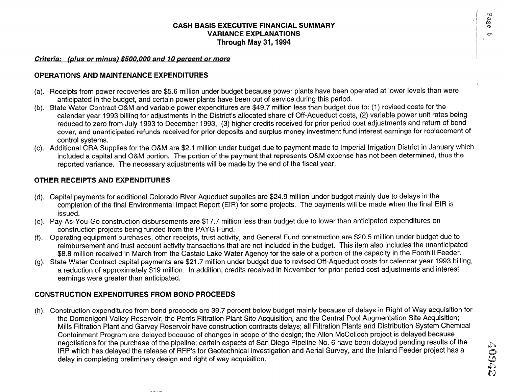# $_{\rm Page}$

### CASH BASIS EXECUTIVE FINANCIAL SUMMARY VARIANCE EXPLANATIONS Through May 31,1994

### Criteria: (plus or minus) \$500,000 and 10 percent or more

### OPERATIONS AND MAINTENANCE EXPENDITURES

- (a). Receipts from power recoveries are \$5.6 million under budget because power plants have been operated at lower levels than were anticipated in the budget, and certain power plants have been out of service during this period.
- (b). State Water Contract O&M and variable power expenditures are \$49.7 million less than budget due to: (1) revised costs for the calendar year 1993 billing for adjustments in the District's allocated share of Off-Aqueduct costs, (2) variable power unit rates being reduced to zero from July 1993 to December 1993, (3) higher credits received for prior period cost adjustments and return of bond cover, and unanticipated refunds received for prior deposits and surplus money investment fund interest earnings for replacement of control systems.
- (c). Additional CRA Supplies for the O&M are \$2.1 million under budget due to payment made to Imperial Irrigation District in January which included a capital and O&M portion. The portion of the payment that represents O&M expense has not been determined, thus the reported variance. The necessary adjustments will be made by the end of the fiscal year.

### OTHER RECEIPTS AND EXPENDITURES

- (d). Capital payments for additional Colorado River Aqueduct supplies are \$24.9 million under budget mainly due to delays in the completion of the final Environmental Impact Report (EIR) for some projects. The payments will be made when the final EIR is issued.
- (e). Pay-As-You-Go construction disbursements are \$17.7 million less than budget due to lower than anticipated expenditures on construction projects being funded from the PAYG Fund.
- (f). Operating equipment purchases, other receipts, trust activity, and General Fund construction are \$20.5 million under budget due to reimbursement and trust account activity transactions that are not included in the budget. This item also includes the unanticipated \$8.8 million received in March from the Castaic Lake Water Agency for the sale of a portion of the capacity in the Foothill Feeder.
- (g). State Water Contract capital payments are \$21.7 million under budget due to revised Off-Aqueduct costs for calendar year 1993 billing, a reduction of approximately \$19 million. In addition, credits received in November for prior period cost adjustments and interest earnings were greater than anticipated.

### CONSTRUCTION EXPENDITURES FROM BOND PROCEEDS

(h). Construction expenditures from bond proceeds are 39.7 percent below budget mainly because of delays in Right of Way acquisition for the Domenigoni Valley Reservoir; the Perris Filtration Plant Site Acquisition, and the Central Pool Augmentation Site Acquisition; Mills Filtration Plant and Garvey Reservoir have construction contracts delays; all Filtration Plants and Distribution System Chemical Containment Program are delayed because of changes in scope of the design; the Allen McColloch project is delayed because negotiations for the purchase of the pipeline; certain aspects of San Diego Pipeline No. 6 have been delayed pending results of the IRP which has delayed the release of RFP's for Geotechnical investigation and Aerial Survey, and the Inland Feeder project has a delay in completing preliminary design and right of way acquisition.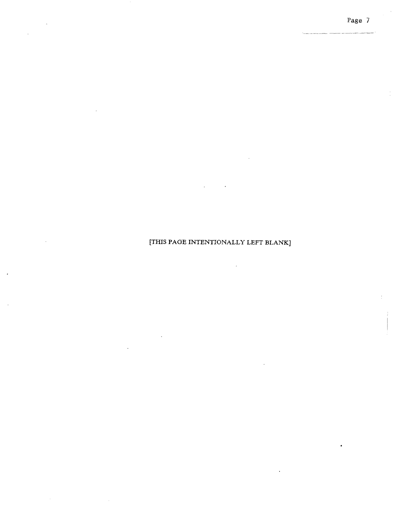### [THIS PAGE INTENTIONALLY LEFT BLANK]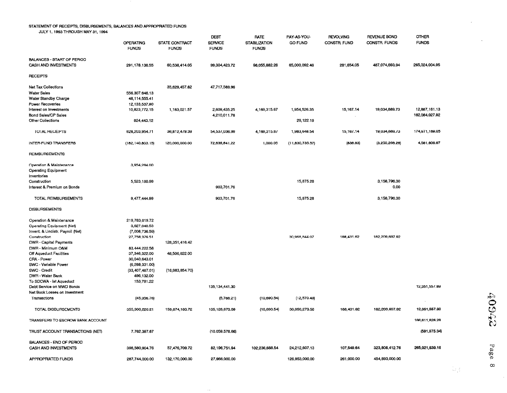#### STATEMENT OF RECEIPTS, DISBURSEMENTS, BALANCES AND APPROPRIATED FUNDS JULY 1, 1993 THROUGH MAY 31, 1

 $\sim$ 

|                                   | <b>OPERATING</b><br><b>FUNDS</b> | STATE CONTRACT<br><b>FUNDS</b> | <b>DEBT</b><br><b>SERVICE</b><br><b>FUNDS</b> | <b>RATE</b><br><b>STABILIZATION</b><br><b>FUNDS</b> | PAY-AS-YOU-<br><b>GO FUND</b> | <b>REVOLVING</b><br>CONSTR, FUND | REVENUE BOND<br>CONSTR. FUNDS | OTHER<br><b>FUNDS</b> |
|-----------------------------------|----------------------------------|--------------------------------|-----------------------------------------------|-----------------------------------------------------|-------------------------------|----------------------------------|-------------------------------|-----------------------|
| <b>BALANCES - START OF PERIOD</b> |                                  |                                |                                               |                                                     |                               |                                  |                               |                       |
| <b>CASH AND INVESTMENTS</b>       | 291, 178, 136.55                 | 60,538,414.05                  | 99,304,423.72                                 | 98,055,882.28                                       | 65,000,092.46                 | 281,654.05                       | 487,074,693.94                | 265,024,004.95        |
| <b>RECEIPTS</b>                   |                                  |                                |                                               |                                                     |                               |                                  |                               |                       |
| Net Tax Collections               |                                  | 35,629,457.82                  | 47,717,589,96                                 |                                                     |                               |                                  |                               |                       |
| <b>Water Sales</b>                | 556.307.646.13                   |                                |                                               |                                                     |                               |                                  |                               |                       |
| Water Standby Charge              | 48,114,555.41                    |                                |                                               |                                                     |                               |                                  |                               |                       |
| Power Recoveries                  | 12, 133, 537.90                  |                                |                                               |                                                     |                               |                                  |                               |                       |
| Interest on Investments           | 10,823,772.15                    | 1,183,021.57                   | 2,609,435.25                                  | 4,169,315.67                                        | 1,954,526.35                  | 15,167.14                        | 19,034,889.73                 | 12,887,161.13         |
| <b>Bond Sales/CP Sales</b>        |                                  |                                | 4,210,011.78                                  |                                                     |                               |                                  |                               | 162,084,027.92        |
| <b>Other Collections</b>          | 824,443.12                       |                                |                                               |                                                     | 29,122.19                     |                                  |                               |                       |
| <b>TOTAL RECEIPTS</b>             | 628.203,954.71                   | 36,812,479.39                  | 54,537,036.99                                 | 4,169,315.67                                        | 1,983,648.54                  | 15,167.14                        | 19,034,889.73                 | 174,971,189.05        |
| INTER-FUND TRANSFERS              | (182, 140, 803, 15)              | 120,000,000.00                 | 72,639,841.22                                 | 1,000.05                                            | (11, 830, 735.57)             | (839.93)                         | (3,250,269.29)                | 4,581,606.67          |
| <b>REIMBURSEMENTS</b>             |                                  |                                |                                               |                                                     |                               |                                  |                               |                       |
| Operation & Maintenance           | 3,954,284.00                     |                                |                                               |                                                     |                               |                                  |                               |                       |
| <b>Operating Equipment</b>        |                                  |                                |                                               |                                                     |                               |                                  |                               |                       |
| inventories                       |                                  |                                |                                               |                                                     |                               |                                  |                               |                       |
| Construction                      | 5,523,160.99                     |                                |                                               |                                                     | 15,875.28                     |                                  | 3,158,796,30                  |                       |
| Interest & Premium on Bonds       |                                  |                                | 903,701.76                                    |                                                     |                               |                                  | 0,00                          |                       |
| TOTAL REIMBURSEMENTS              | 9,477,444.99                     |                                | 903,701.76                                    |                                                     | 15,875.28                     |                                  | 3,158,796.30                  |                       |
| <b>DISBURSEMENTS</b>              |                                  |                                |                                               |                                                     |                               |                                  |                               |                       |
| Operation & Maintenance           | 219,783,619.72                   |                                |                                               |                                                     |                               |                                  |                               |                       |
| Operating Equipment (Net)         | 3,627,040.53                     |                                |                                               |                                                     |                               |                                  |                               |                       |
| Invent, & Undistr, Payroll (Net)  | (7,008,736.59)                   |                                |                                               |                                                     |                               |                                  |                               |                       |
| Construction                      | 27,758,376.51                    |                                |                                               |                                                     | 30,968,844.07                 | 188,431.62                       | 182,209,697.92                |                       |
| DWR - Capital Payments            |                                  | 128.351,416.42                 |                                               |                                                     |                               |                                  |                               |                       |
| DWR - Minimum O&M                 | 83,444,222.58                    |                                |                                               |                                                     |                               |                                  |                               |                       |
| Off Aqueduct Facilities           | 37,346,322.00                    | 48,506,622.00                  |                                               |                                                     |                               |                                  |                               |                       |
| CRA - Power                       | 30,040,643.01                    |                                |                                               |                                                     |                               |                                  |                               |                       |
| SWC - Variable Power              | (6, 288, 331, 00)                |                                |                                               |                                                     |                               |                                  |                               |                       |
| SWC - Credit                      | (33,407,487.01)                  | (16,983,854,70)                |                                               |                                                     |                               |                                  |                               |                       |
| DWR - Water Bank                  | 496,132.00                       |                                |                                               |                                                     |                               |                                  |                               |                       |
| To SDCWA - Ist Aqueduct           | 153,781.22                       |                                |                                               |                                                     |                               |                                  |                               |                       |
| Debt Service on MWD Bonds         |                                  |                                | 135, 134, 441, 30                             |                                                     |                               |                                  |                               | 12,351,557.89         |
| Net Book Losses on Investment     |                                  |                                |                                               |                                                     |                               |                                  |                               |                       |
| Transactions                      | (45, 356.76)                     |                                | (5,768.21)                                    | (10,690.54)                                         | (12,570.49)                   |                                  |                               |                       |
| TOTAL DISBURSEMENTS               | 355,900,226.21                   | 159,874,183.72                 | 135,128,673.09                                | (10, 690.54)                                        | 30,956,273.58                 | 188,431.62                       | 182,209,697.92                | 12 351,557.69         |
| TRANSFERS TO ESCROW BANK ACCOUNT  |                                  |                                |                                               |                                                     |                               |                                  |                               | 166,611,828.28        |
| TRUST ACCOUNT TRANSACTIONS (NET)  | 7,762,397.87                     |                                | (10,059,576.66)                               |                                                     |                               |                                  |                               | (591, 975.34)         |
| <b>BALANCES - END OF PERIOD</b>   |                                  |                                |                                               |                                                     |                               |                                  |                               |                       |
| <b>CASH AND INVESTMENTS</b>       | 398,580,904.76                   | 57,476,709.72                  | 82,196,751.94                                 | 102,236,888.54                                      | 24.212,607.13                 | 107,549.64                       | 323,808,412.76                | 265,021,639.16        |
| APPROPRIATED FUNDS                | 287,744,000.00                   | 132,170,000.00                 | 27,988,000.00                                 |                                                     | 126,953,000.00                | 261,000.00                       | 454,893,000,00                |                       |

 $\sim$ 

 $\infty$ 

 $\mathcal{L}$ 

 $\mathbb{Q}[\xi]$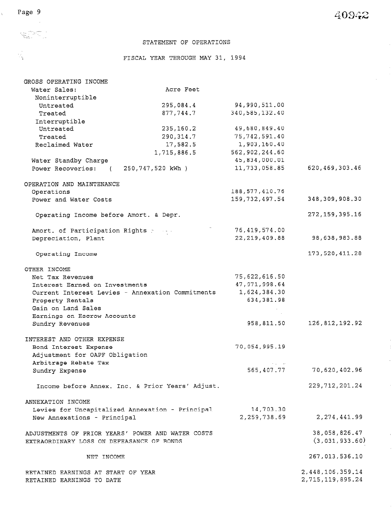$\frac{1}{\sqrt{2}}$ 

 $\frac{\sum_{i=1}^{n} \sum_{j=1}^{n} \sum_{j=1}^{n} \sum_{j=1}^{n} \sum_{j=1}^{n} \sum_{j=1}^{n} \sum_{j=1}^{n} \sum_{j=1}^{n} \sum_{j=1}^{n} \sum_{j=1}^{n} \sum_{j=1}^{n} \sum_{j=1}^{n} \sum_{j=1}^{n} \sum_{j=1}^{n} \sum_{j=1}^{n} \sum_{j=1}^{n} \sum_{j=1}^{n} \sum_{j=1}^{n} \sum_{j=1}^{n} \sum_{j=1}^{n} \sum_{j=1}^{n} \sum_{j=1}^{$ 

 $\frac{1}{\Delta}$ 

40942

 $\frac{1}{2}$ 

 $\frac{1}{2}$  $\Delta \sim 10$ 

 $\bar{\mathcal{L}}$ 

 $\ddot{\phantom{0}}$ 

### STATEMENT OF OPERATIONS

FISCAL YEAR THROUGH MAY 31, 1994

| GROSS OPERATING INCOME                    |                                                   |                  |                      |
|-------------------------------------------|---------------------------------------------------|------------------|----------------------|
| Water Sales:                              | Acre Feet                                         |                  |                      |
| Noninterruptible                          |                                                   |                  |                      |
| Untreated                                 | 295,084.4                                         | 94,990,511.00    |                      |
| Treated                                   | 877,744.7                                         | 340, 585, 132.40 |                      |
| Interruptible                             |                                                   |                  |                      |
| Untreated                                 | 235,160.2                                         | 49,680,849.40    |                      |
| Treated                                   | 290, 314.7                                        | 75,742,591.40    |                      |
| Reclaimed Water                           | 17,582.5                                          | 1,903,160.40     |                      |
|                                           | 1,715,886.5                                       | 562,902,244.60   |                      |
| Water Standby Charge                      |                                                   | 45,834,000.01    |                      |
| Power Recoveries: (                       | 250,747,520 kWh )                                 | 11,733,058.85    | 620,469,303.46       |
| OPERATION AND MAINTENANCE                 |                                                   |                  |                      |
| Operations                                |                                                   | 188, 577, 410.76 |                      |
| Power and Water Costs                     |                                                   | 159, 732, 497.54 | 348, 309, 908. 30    |
| Operating Income before Amort. & Depr.    |                                                   |                  | 272, 159, 395. 16    |
| Amort. of Participation Rights and Amort. |                                                   | 76,419,574.00    |                      |
| Depreciation, Plant                       |                                                   | 22, 219, 409.88  | 98,638,983.88        |
| Operating Income                          |                                                   |                  | 173,520,411.28       |
| OTHER INCOME                              |                                                   |                  |                      |
| Net Tax Revenues                          |                                                   | 75,622,616.50    |                      |
| Interest Earned on Investments            |                                                   | 47, 971, 998.64  |                      |
|                                           | Current Interest Levies - Annexation Commitments  | 1,624,384.30     |                      |
| Property Rentals                          |                                                   | 634, 381.98      |                      |
| Gain on Land Sales                        |                                                   |                  |                      |
| Earnings on Escrow Accounts               |                                                   |                  |                      |
| Sundry Revenues                           |                                                   | 958,811.50       | 126, 812, 192.92     |
| INTEREST AND OTHER EXPENSE                |                                                   |                  |                      |
| Bond Interest Expense                     |                                                   | 70,054,995.19    |                      |
| Adjustment for OAPF Obligation            |                                                   |                  |                      |
| Arbitrage Rebate Tax                      |                                                   |                  |                      |
| Sundry Expense                            |                                                   | 565,407.77       | 70,620,402.96        |
|                                           | Income before Annex. Inc. & Prior Years' Adjust.  |                  | 229, 712, 201. 24    |
| ANNEXATION INCOME                         |                                                   |                  |                      |
|                                           | Levies for Uncapitalized Annexation - Principal   | 14,703.30        |                      |
| New Annexations - Principal               |                                                   | 2,259,738.69     | 2, 274, 441.99       |
|                                           | ADJUSTMENTS OF PRIOR YEARS' POWER AND WATER COSTS |                  | 38,058,826.47        |
| EXTRAORDINARY LOSS ON DEFEASANCE OF BONDS |                                                   |                  | (3,031,933.60)       |
| NET INCOME                                |                                                   |                  | 267,013,536.10       |
| RETAINED EARNINGS AT START OF YEAR        |                                                   |                  | 2, 448, 106, 359. 14 |
| RETAINED EARNINGS TO DATE                 |                                                   |                  | 2, 715, 119, 895. 24 |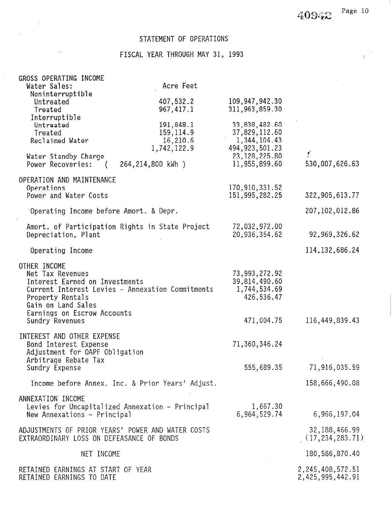$40942$ <sup>Page 10</sup>

### STATEMENT OF OPERATIONS

 $\sim 100$ 

 $\mathcal{L}^{(1)}$ 

 $\ddot{\phantom{0}}$ 

 $\sim$ 

FISCAL YEAR THROUGH MAY 31, 1993

| GROSS OPERATING INCOME                                                                                                                                         |                                                    |                                                                            |                                          |
|----------------------------------------------------------------------------------------------------------------------------------------------------------------|----------------------------------------------------|----------------------------------------------------------------------------|------------------------------------------|
| Water Sales:                                                                                                                                                   | Acre Feet                                          |                                                                            |                                          |
| Noninterruptible<br>Untreated<br>Treated                                                                                                                       | 407,532.2<br>967, 417.1                            | 109,947,942.30<br>311,963,859.30                                           |                                          |
| Interruptible<br>Untreated<br>Treated<br>Reclaimed Water                                                                                                       | 191,848.1<br>159, 114.9<br>16,210.6<br>1,742,122.9 | 33,838,482.60<br>37,829,112.60<br>1,344,104.43<br>494, 923, 501.23         |                                          |
| Water Standby Charge<br>Power Recoveries:<br>$\sqrt{2}$                                                                                                        | 264,214,800 kWh )                                  | 23, 128, 225.80<br>11,955,899.60                                           | $\mathcal{I}$<br>530,007,626.63          |
| OPERATION AND MAINTENANCE                                                                                                                                      |                                                    |                                                                            |                                          |
| Operations<br>Power and Water Costs                                                                                                                            |                                                    | 170,910,331.52<br>151, 995, 282.25                                         | 322,905,613.77                           |
| Operating Income before Amort. & Depr.                                                                                                                         |                                                    |                                                                            | 207, 102, 012.86                         |
| Amort. of Participation Rights in State Project<br>Depreciation, Plant                                                                                         |                                                    | 72,032,972.00<br>20,936,354.62                                             | 92,969,326.62                            |
| Operating Income                                                                                                                                               |                                                    |                                                                            | 114, 132, 686. 24                        |
| OTHER INCOME<br>Net Tax Revenues<br>Interest Earned on Investments<br>Property Rentals<br>Gain on Land Sales<br>Earnings on Escrow Accounts<br>Sundry Revenues | Current Interest Levies - Annexation Commitments   | 73,993,272.92<br>39,814,490.60<br>1,744,534.69<br>426,536.47<br>471,004.75 | 116, 449, 839. 43                        |
| INTEREST AND OTHER EXPENSE<br>Bond Interest Expense<br>Adjustment for OAPF Obligation<br>Arbitrage Rebate Tax<br>Sundry Expense                                |                                                    | 71,360,346.24<br>555,689.35                                                | 71,916,035.59                            |
|                                                                                                                                                                | Income before Annex. Inc. & Prior Years' Adjust.   |                                                                            | 158,666,490.08                           |
| ANNEXATION INCOME<br>Levies for Uncapitalized Annexation - Principal<br>New Annexations - Principal                                                            |                                                    | 1,667.30<br>6,964,529.74                                                   | 6,966,197.04                             |
| ADJUSTMENTS OF PRIOR YEARS' POWER AND WATER COSTS<br>EXTRAORDINARY LOSS ON DEFEASANCE OF BONDS                                                                 |                                                    |                                                                            | 32, 188, 466.99<br>(17, 234, 283.71)     |
| NET INCOME                                                                                                                                                     |                                                    |                                                                            | 180,586,870.40                           |
| RETAINED EARNINGS AT START OF YEAR<br>RETAINED EARNINGS TO DATE                                                                                                |                                                    |                                                                            | 2, 245, 408, 572. 51<br>2,425,995,442.91 |

y.<br>Die

 $\hat{\mathcal{Q}}$ 

 $\pm$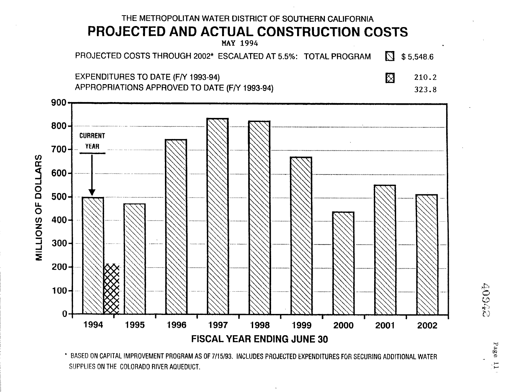

\* BASED ON CAPITAL IMPROVEMENT PROGRAM AS OF 7/15/93. INCLUDES PROJECTED EXPENDITURES FOR SECURING ADDITIONAL WATER SUPPLIES ON THE COLORADO RIVER AQUEDUCT.

20942

Page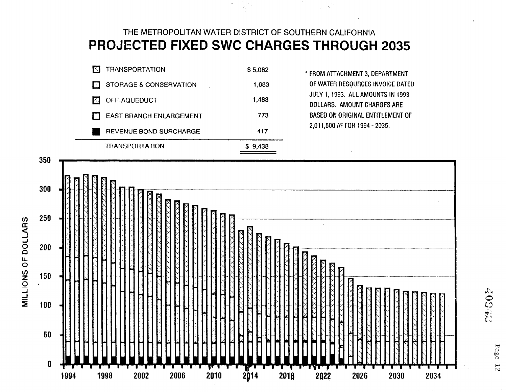# THE METROPOLITAN WATER DISTRICT OF SOUTHERN CALIFORNIA PROJECTED FIXED SWC CHARGES THROUGH 2035

| <b>TRANSPORTATION</b>                                       | \$9,438 |
|-------------------------------------------------------------|---------|
| REVENUE BOND SURCHARGE                                      | 417     |
| EAST BRANCH ENLARGEMENT                                     | 773     |
| OFF-AQUEDUCT<br>V.                                          | 1,483   |
| STORAGE & CONSERVATION<br>$\mathbf{I}\backslash \mathbf{I}$ | 1,683   |
| <b>TRANSPORTATION</b><br>K.                                 | \$5,082 |

MILLIONS OF DOLLARS

\* FROM ATTACHMENT 3, DEPARTMENT OF WATER RESOURCES INVOICE DATED JULY 1,1993. ALL AMOUNTS IN 1993 DOLLARS. AMOUNT CHARGES ARE BASED ON ORIGINAL ENTITLEMENT OF 2,011,500 AF FOR 1994 - 2035.



27603

Page  $7\,\mathrm{Z}$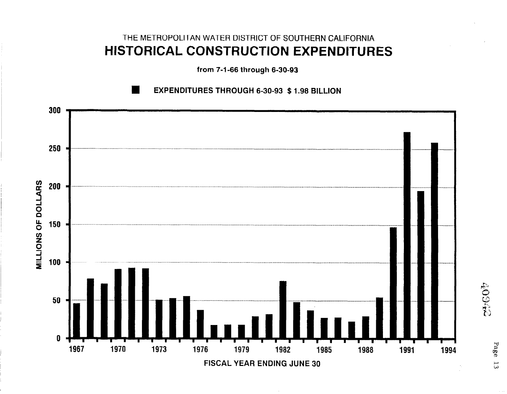# THE METROPOLITAN WATER DISTRICT OF SOUTHERN CALIFORNIA HISTORICAL CONSTRUCTION EXPENDITURES

from 7-l-66 through 6-30-93





Page  $\overline{\omega}$ 

 $409422$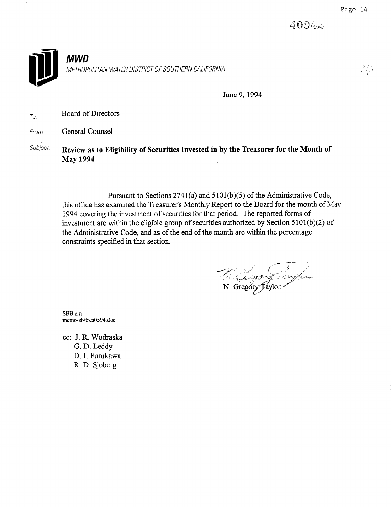$\label{eq:2} \begin{array}{c} \hat{\mathcal{J}} = \hat{\mathcal{J}} = \hat{\mathcal{J}} = \hat{\mathcal{J}} = \hat{\mathcal{J}} = \hat{\mathcal{J}} = \hat{\mathcal{J}} = \hat{\mathcal{J}} = \hat{\mathcal{J}} = \hat{\mathcal{J}} = \hat{\mathcal{J}} = \hat{\mathcal{J}} = \hat{\mathcal{J}} = \hat{\mathcal{J}} = \hat{\mathcal{J}} = \hat{\mathcal{J}} = \hat{\mathcal{J}} = \hat{\mathcal{J}} = \hat{\mathcal{J}} = \hat{\mathcal{J}} = \hat{\mathcal{J}} = \hat{\mathcal{J}} = \hat{\mathcal{J}}$ 

40942



June 9, 1994

 $T_{Q}$ : Board of Directors

 $\mathcal{L}_{\mathcal{A}}$ 

From: General Counsel

Subject: Review as to Eligibility of Securities Invested in by the Treasurer for the Month of May 1994

> Pursuant to Sections 2741(a) and 5 101(b)(5) of the Administrative Code, this office has examined the Treasurer's Monthly Report to the Board for the month of May 1994 covering the investment of securities for that period. The reported forms of investment are within the eligible group of securities authorized by Section  $5101(b)(2)$  of the Administrative Code, and as of the end of the month are within the percentage constraints specified in that section.

N. Gregory Faylor

SBB:gm memo-sb\tres0594.doc

cc: J. R. Wodraska G. D. Leddy D. I. Furukawa R. D. Sjoberg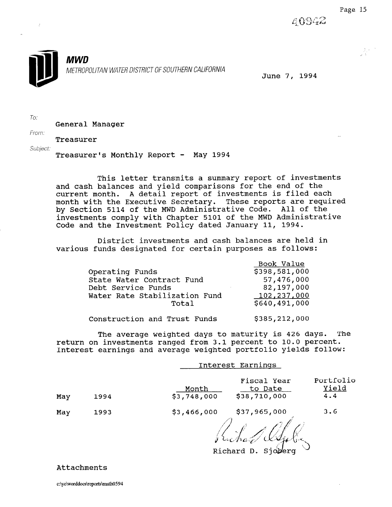

 $T_{\Omega}$ .

General Manager

From:

Treasurer

Subject.

Treasurer's Monthly Report - May 1994

This letter transmits a summary report of investments and cash balances and yield comparisons for the end of the current month. A detail report of investments is filed each month with the Executive Secretary. These reports are required by Section 5114 of the MWD Administrative Code. All of the investments comply with Chapter 5101 of the MWD Administrative Code and the Investment Policy dated January 11, 1994.

District investments and cash balances are held in various funds designated for certain purposes as follows:

| Operating Funds<br>State Water Contract Fund<br>Debt Service Funds<br>Water Rate Stabilization Fund<br>Total | Book Value<br>\$398,581,000<br>57,476,000<br>82,197,000<br>102,237,000<br>\$640,491,000 |
|--------------------------------------------------------------------------------------------------------------|-----------------------------------------------------------------------------------------|
|                                                                                                              |                                                                                         |

Construction and Trust Funds \$385,212,000

The average weighted days to maturity is 426 days. The return on investments ranged from 3.1 percent to 10.0 percent. Interest earnings and average weighted portfolio yields follow:

|     |      | Interest Earnings                                              |                           |
|-----|------|----------------------------------------------------------------|---------------------------|
| May | 1994 | Fiscal Year<br>to Date<br>Month<br>\$38,710,000<br>\$3,748,000 | Portfolio<br>Yield<br>4.4 |
| May | 1993 | \$37,965,000<br>\$3,466,000                                    | 3.6                       |
|     |      |                                                                |                           |

Richard D. Sjoperg

Attachments

c:\vc\worddocs\reports\muth0594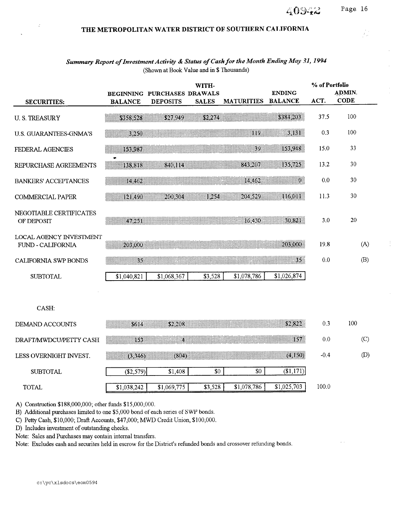$\mathcal{F}_{\mathcal{A}}$ 

### THE METROPOLITAN WATER DISTRICT OF SOUTHERN CALIFORNIA

|                                                     | BEGINNING PURCHASES DRAWALS       | WITH-       |                          | <b>ENDING</b> | % of Portfolio | ADMIN.      |
|-----------------------------------------------------|-----------------------------------|-------------|--------------------------|---------------|----------------|-------------|
| <b>SECURITIES:</b>                                  | <b>DEPOSITS</b><br><b>BALANCE</b> |             | SALES MATURITIES BALANCE |               | ACT.           | <b>CODE</b> |
| U. S. TREASURY                                      | \$358,528<br>\$27,949             | \$2,274     |                          | \$384.203     | 37.5           | 100         |
| U.S. GUARANTEES-GNMA'S                              | 3,250                             |             | 119.                     | 3.131         | 0.3            | 100         |
| FEDERAL AGENCIES                                    | 153,987                           |             | 39                       | 153,948       | 15.0           | 33          |
| REPURCHASE AGREEMENTS                               | 840,114<br>138,818                |             | 843,207                  | 135,725       | 13.2           | 30          |
| <b>BANKERS' ACCEPTANCES</b>                         | 14,462                            |             | 14,462                   | $\omega$      | $0.0\,$        | 30          |
| <b>COMMERCIAL PAPER</b>                             | 121.490<br>200.304                | 1,254       | 204 529                  | 116.011       | 11.3           | 30          |
| NEGOTIABLE CERTIFICATES<br>OF DEPOSIT               | 47.251                            |             | 16,430                   | 30821         | 3.0            | 20          |
| LOCAL AGENCY INVESTMENT<br><b>FUND - CALIFORNIA</b> | 203,000                           |             |                          | 203,000       | 19.8           | (A)         |
| CALIFORNIA SWP BONDS                                | 35                                |             |                          | 35.           | 0.0            | (B)         |
| <b>SUBTOTAL</b>                                     | \$1,068,367<br>\$1,040,821        | \$3,528     | \$1,078,786              | \$1,026,874   |                |             |
|                                                     |                                   |             |                          |               |                |             |
| CASH:                                               |                                   |             |                          |               |                |             |
| DEMAND ACCOUNTS                                     | \$614<br>\$2,208                  |             |                          | \$2,822       | 0.3            | 100         |
| DRAFT/MWDCU/PETTY CASH                              | ंब<br>153                         |             |                          | 157           | $0.0\,$        | (C)         |
| LESS OVERNIGHT INVEST.                              | (804)<br>(3,346)                  |             |                          | (4,150)       | $-0.4$         | (D)         |
| <b>SUBTOTAL</b>                                     | \$1,408<br>$(\$2,579)$            | $\sqrt{50}$ | $\overline{30}$          | (1,171)       |                |             |
| <b>TOTAL</b>                                        | \$1,069,775<br>\$1,038,242        | S3,528      | $\sqrt{1,078,786}$       | \$1,025,703   | 100.0          |             |

### Summary Report of Investment Activity & Status of Cash for the Month Ending May 31,1994 (Shown at Book Value and in \$ Thousands)

A) Construction \$188,000,000; other funds \$15,000,000.

B) Additional purchases limited to one \$5,000 bond of each series of SWP bonds.

C) Petty Cash, \$10,000; Draft Accounts, \$47,000; MWD Credit Union, \$100,000.

D) Includes investment of outstanding checks.

Note: Sales and Purchases may contain internal transfers.

Note: Excludes cash and securites held in escrow for the District's refunded bonds and crossover refunding bonds.